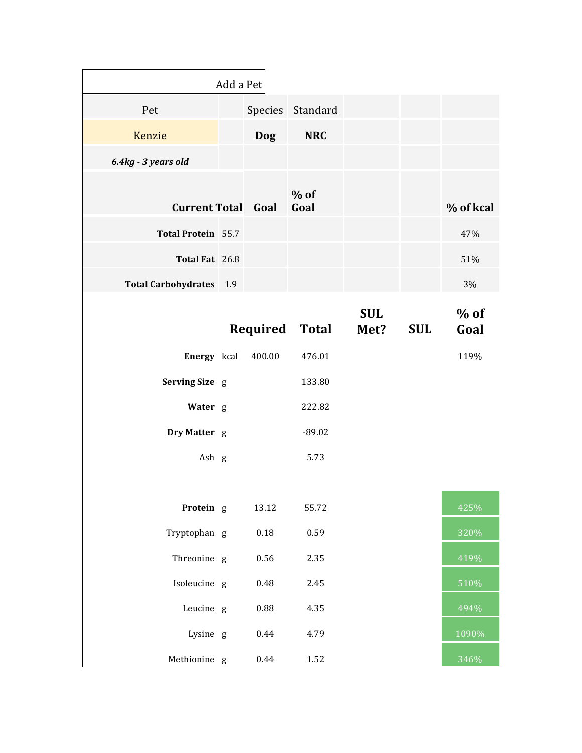| Add a Pet                      |  |            |                  |            |            |           |
|--------------------------------|--|------------|------------------|------------|------------|-----------|
| <u>Pet</u>                     |  |            | Species Standard |            |            |           |
| Kenzie                         |  | <b>Dog</b> | <b>NRC</b>       |            |            |           |
| 6.4kg - 3 years old            |  |            |                  |            |            |           |
| <b>Current Total Goal</b>      |  |            | $%$ of<br>Goal   |            |            | % of kcal |
| <b>Total Protein</b> 55.7      |  |            |                  |            |            | 47%       |
| Total Fat 26.8                 |  |            |                  |            |            | 51%       |
| <b>Total Carbohydrates</b> 1.9 |  |            |                  |            |            | 3%        |
|                                |  |            |                  | <b>SUL</b> |            | $%$ of    |
|                                |  | Required   | Total            | Met?       | <b>SUL</b> | Goal      |
| Energy kcal                    |  | 400.00     | 476.01           |            |            | 119%      |
| Serving Size g                 |  |            | 133.80           |            |            |           |
| Water g                        |  |            | 222.82           |            |            |           |
| Dry Matter g                   |  |            | $-89.02$         |            |            |           |
| Ash g                          |  |            | 5.73             |            |            |           |
|                                |  |            |                  |            |            |           |
| Protein g                      |  | 13.12      | 55.72            |            |            | 425%      |
| Tryptophan g                   |  | $0.18\,$   | 0.59             |            |            | 320%      |
| Threonine g                    |  | 0.56       | 2.35             |            |            | 419%      |
| Isoleucine g                   |  | 0.48       | 2.45             |            |            | 510%      |
| Leucine g                      |  | 0.88       | 4.35             |            |            | 494%      |
| Lysine g                       |  | 0.44       | 4.79             |            |            | 1090%     |
| Methionine g                   |  | 0.44       | 1.52             |            |            | 346%      |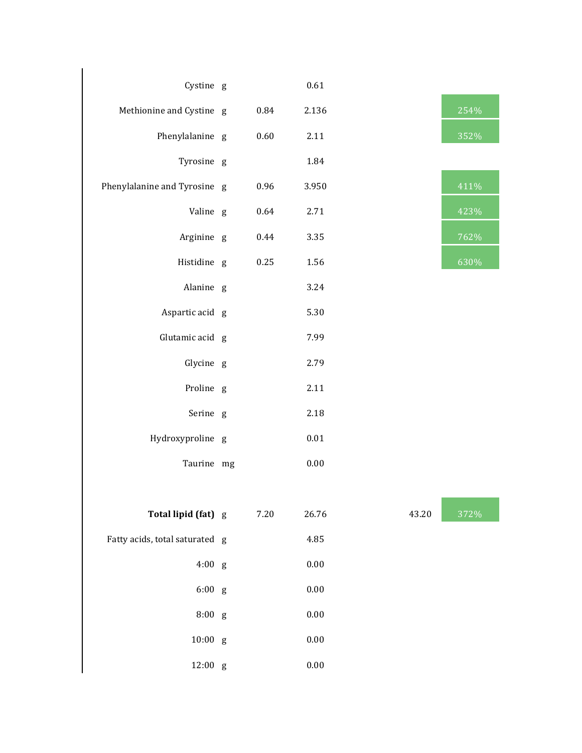| Cystine g                      |          | 0.61     |       |                          |
|--------------------------------|----------|----------|-------|--------------------------|
| Methionine and Cystine g       | 0.84     | 2.136    |       | 254%                     |
| Phenylalanine g                | 0.60     | 2.11     |       | 352%                     |
| Tyrosine g                     |          | 1.84     |       |                          |
| Phenylalanine and Tyrosine g   | 0.96     | 3.950    |       | 411%                     |
| Valine g                       | 0.64     | 2.71     |       | 423%                     |
| Arginine g                     | 0.44     | 3.35     |       | 762%                     |
| Histidine g                    | 0.25     | 1.56     |       | 630%                     |
| Alanine g                      |          | 3.24     |       |                          |
| Aspartic acid g                |          | 5.30     |       |                          |
| Glutamic acid g                |          | 7.99     |       |                          |
| Glycine g                      |          | 2.79     |       |                          |
| Proline g                      |          | 2.11     |       |                          |
| Serine g                       |          | 2.18     |       |                          |
| Hydroxyproline g               |          | $0.01\,$ |       |                          |
| Taurine mg                     |          | 0.00     |       |                          |
|                                |          |          |       | <b>Contract Contract</b> |
| Total lipid (fat) g            | $7.20\,$ | 26.76    | 43.20 | 372%                     |
| Fatty acids, total saturated g |          | 4.85     |       |                          |
| 4:00 g                         |          | $0.00\,$ |       |                          |
| $6:00$ g                       |          | $0.00\,$ |       |                          |
| 8:00 g                         |          | $0.00\,$ |       |                          |
| $10:00$ g                      |          | $0.00\,$ |       |                          |
| 12:00 g                        |          | $0.00\,$ |       |                          |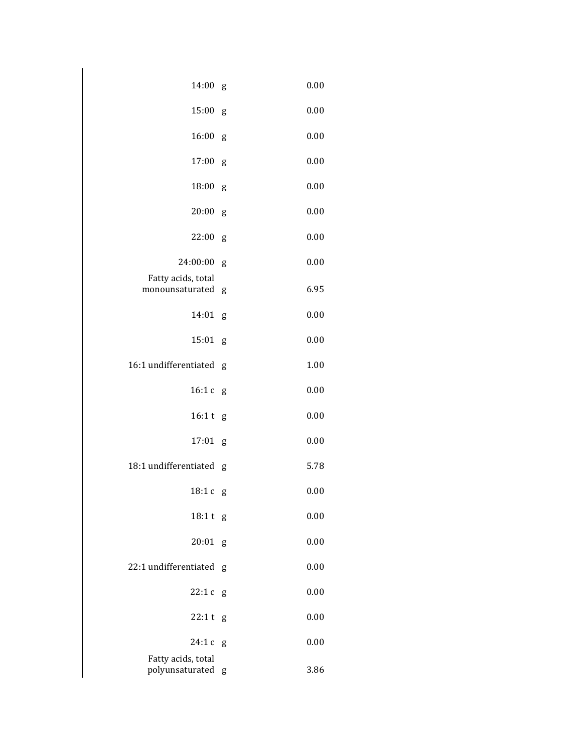| 14:00                                 | g | 0.00 |
|---------------------------------------|---|------|
| 15:00                                 | g | 0.00 |
| 16:00                                 | g | 0.00 |
| 17:00                                 | g | 0.00 |
| 18:00                                 | g | 0.00 |
| 20:00                                 | g | 0.00 |
| 22:00                                 | g | 0.00 |
| 24:00:00                              | g | 0.00 |
| Fatty acids, total<br>monounsaturated | g | 6.95 |
| 14:01                                 | g | 0.00 |
| 15:01                                 | g | 0.00 |
| 16:1 undifferentiated                 | g | 1.00 |
| 16:1c                                 | g | 0.00 |
| 16:1 t                                | g | 0.00 |
| 17:01                                 | g | 0.00 |
| 18:1 undifferentiated                 | g | 5.78 |
| 18:1c                                 | g | 0.00 |
| 18:1 t g                              |   | 0.00 |
| 20:01                                 | g | 0.00 |
| 22:1 undifferentiated                 | g | 0.00 |
| 22:1c                                 | g | 0.00 |
| 22:1t                                 | g | 0.00 |
| 24:1c                                 | g | 0.00 |
| Fatty acids, total<br>polyunsaturated | g | 3.86 |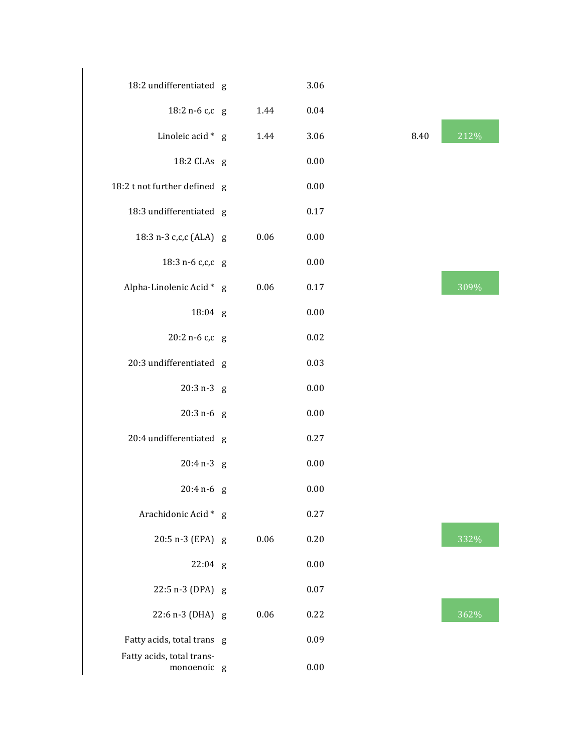| 18:2 undifferentiated g                  |      | 3.06 |      |      |
|------------------------------------------|------|------|------|------|
| 18:2 n-6 c,c g                           | 1.44 | 0.04 |      |      |
| Linoleic acid * g                        | 1.44 | 3.06 | 8.40 | 212% |
| 18:2 CLAs g                              |      | 0.00 |      |      |
| 18:2 t not further defined g             |      | 0.00 |      |      |
| 18:3 undifferentiated g                  |      | 0.17 |      |      |
| 18:3 n-3 c,c,c (ALA) g                   | 0.06 | 0.00 |      |      |
| 18:3 n-6 c,c,c g                         |      | 0.00 |      |      |
| Alpha-Linolenic Acid * g                 | 0.06 | 0.17 |      | 309% |
| 18:04 g                                  |      | 0.00 |      |      |
| 20:2 n-6 c,c g                           |      | 0.02 |      |      |
| 20:3 undifferentiated g                  |      | 0.03 |      |      |
| $20:3 n-3 g$                             |      | 0.00 |      |      |
| $20:3 n-6 g$                             |      | 0.00 |      |      |
| 20:4 undifferentiated g                  |      | 0.27 |      |      |
| $20:4 n-3 g$                             |      | 0.00 |      |      |
| $20:4 n-6 g$                             |      | 0.00 |      |      |
| Arachidonic Acid * g                     |      | 0.27 |      |      |
| 20:5 n-3 (EPA) g                         | 0.06 | 0.20 |      | 332% |
| $22:04$ g                                |      | 0.00 |      |      |
| 22:5 n-3 (DPA) g                         |      | 0.07 |      |      |
| 22:6 n-3 (DHA) g                         | 0.06 | 0.22 |      | 362% |
| Fatty acids, total trans g               |      | 0.09 |      |      |
| Fatty acids, total trans-<br>monoenoic g |      | 0.00 |      |      |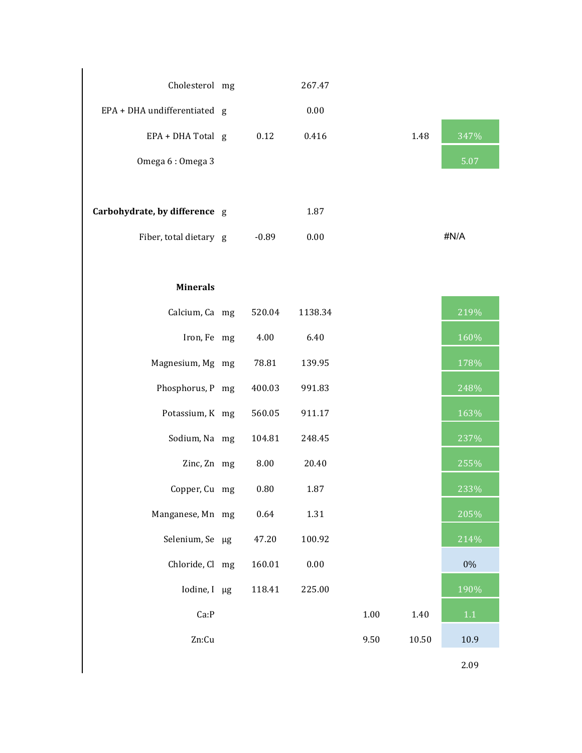| Cholesterol mg                |         | 267.47  |      |       |       |
|-------------------------------|---------|---------|------|-------|-------|
| EPA + DHA undifferentiated g  |         | 0.00    |      |       |       |
| EPA + DHA Total g             | 0.12    | 0.416   |      | 1.48  | 347%  |
| Omega 6: Omega 3              |         |         |      |       | 5.07  |
|                               |         |         |      |       |       |
| Carbohydrate, by difference g |         | 1.87    |      |       |       |
| Fiber, total dietary g        | $-0.89$ | 0.00    |      |       | #N/A  |
|                               |         |         |      |       |       |
| <b>Minerals</b>               |         |         |      |       |       |
| Calcium, Ca mg                | 520.04  | 1138.34 |      |       | 219%  |
| Iron, Fe mg                   | 4.00    | 6.40    |      |       | 160%  |
| Magnesium, Mg mg              | 78.81   | 139.95  |      |       | 178%  |
| Phosphorus, P mg              | 400.03  | 991.83  |      |       | 248%  |
| Potassium, K mg               | 560.05  | 911.17  |      |       | 163%  |
| Sodium, Na mg                 | 104.81  | 248.45  |      |       | 237%  |
| Zinc, Zn mg                   | 8.00    | 20.40   |      |       | 255%  |
| Copper, Cu mg                 | 0.80    | 1.87    |      |       | 233%  |
| Manganese, Mn mg              | 0.64    | 1.31    |      |       | 205%  |
| Selenium, Se µg               | 47.20   | 100.92  |      |       | 214%  |
| Chloride, Cl mg               | 160.01  | 0.00    |      |       | $0\%$ |
| Iodine, I µg                  | 118.41  | 225.00  |      |       | 190%  |
| Ca:P                          |         |         | 1.00 | 1.40  | 1.1   |
| Zn:Cu                         |         |         | 9.50 | 10.50 | 10.9  |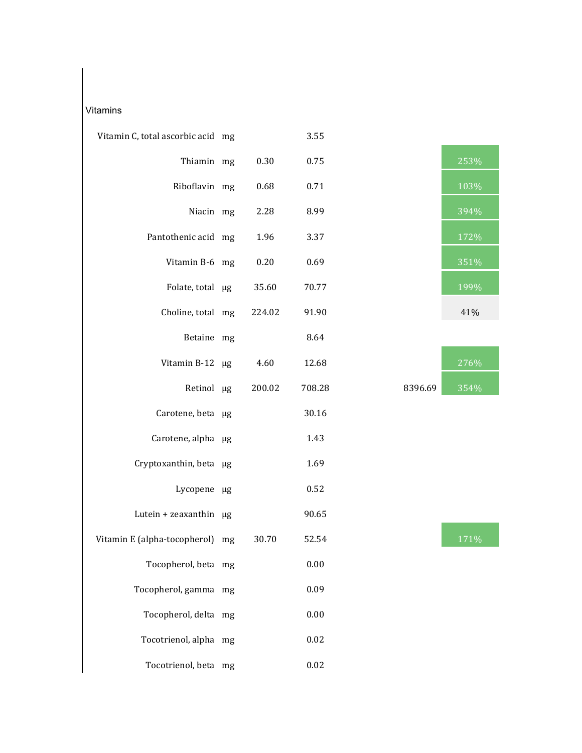## Vitamins

| Vitamin C, total ascorbic acid mg |        | 3.55   |         |      |
|-----------------------------------|--------|--------|---------|------|
| Thiamin mg                        | 0.30   | 0.75   |         | 253% |
| Riboflavin mg                     | 0.68   | 0.71   |         | 103% |
| Niacin mg                         | 2.28   | 8.99   |         | 394% |
| Pantothenic acid mg               | 1.96   | 3.37   |         | 172% |
| Vitamin B-6 mg                    | 0.20   | 0.69   |         | 351% |
| Folate, total µg                  | 35.60  | 70.77  |         | 199% |
| Choline, total mg                 | 224.02 | 91.90  |         | 41%  |
| Betaine mg                        |        | 8.64   |         |      |
| Vitamin B-12 µg                   | 4.60   | 12.68  |         | 276% |
| Retinol µg                        | 200.02 | 708.28 | 8396.69 | 354% |
| Carotene, beta µg                 |        | 30.16  |         |      |
| Carotene, alpha µg                |        | 1.43   |         |      |
| Cryptoxanthin, beta µg            |        | 1.69   |         |      |
| Lycopene µg                       |        | 0.52   |         |      |
| Lutein + zeaxanthin $\mu$ g       |        | 90.65  |         |      |
| Vitamin E (alpha-tocopherol) mg   | 30.70  | 52.54  |         | 171% |
| Tocopherol, beta mg               |        | 0.00   |         |      |
| Tocopherol, gamma mg              |        | 0.09   |         |      |
| Tocopherol, delta mg              |        | 0.00   |         |      |
| Tocotrienol, alpha mg             |        | 0.02   |         |      |
| Tocotrienol, beta mg              |        | 0.02   |         |      |



|         | 276% |
|---------|------|
| 8396.69 | 354% |